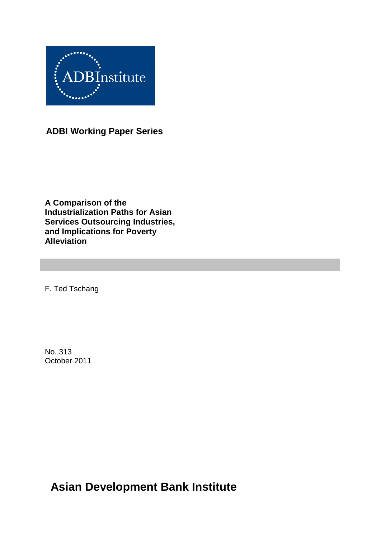

**ADBI Working Paper Series**

**A Comparison of the Industrialization Paths for Asian Services Outsourcing Industries, and Implications for Poverty Alleviation**

F. Ted Tschang

No. 313 October 2011

**Asian Development Bank Institute**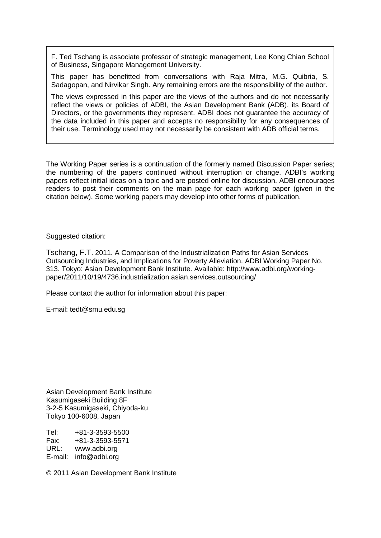F. Ted Tschang is associate professor of strategic management, Lee Kong Chian School of Business, Singapore Management University.

This paper has benefitted from conversations with Raja Mitra, M.G. Quibria, S. Sadagopan, and Nirvikar Singh. Any remaining errors are the responsibility of the author.

The views expressed in this paper are the views of the authors and do not necessarily reflect the views or policies of ADBI, the Asian Development Bank (ADB), its Board of Directors, or the governments they represent. ADBI does not guarantee the accuracy of the data included in this paper and accepts no responsibility for any consequences of their use. Terminology used may not necessarily be consistent with ADB official terms.

The Working Paper series is a continuation of the formerly named Discussion Paper series; the numbering of the papers continued without interruption or change. ADBI's working papers reflect initial ideas on a topic and are posted online for discussion. ADBI encourages readers to post their comments on the main page for each working paper (given in the citation below). Some working papers may develop into other forms of publication.

Suggested citation:

Tschang, F.T. 2011. A Comparison of the Industrialization Paths for Asian Services Outsourcing Industries, and Implications for Poverty Alleviation. ADBI Working Paper No. 313. Tokyo: Asian Development Bank Institute. Available: http://www.adbi.org/workingpaper/2011/10/19/4736.industrialization.asian.services.outsourcing/

Please contact the author for information about this paper:

E-mail: [tedt@smu.edu.sg](mailto:tedt@smu.edu.sg)

Asian Development Bank Institute Kasumigaseki Building 8F 3-2-5 Kasumigaseki, Chiyoda-ku Tokyo 100-6008, Japan

Tel: +81-3-3593-5500 Fax: +81-3-3593-5571 www.adbi.org E-mail: info@adbi.org

© 2011 Asian Development Bank Institute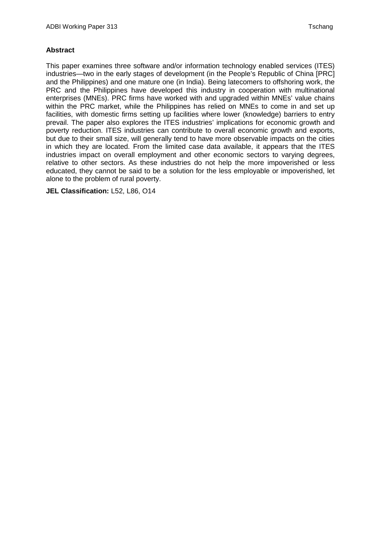#### **Abstract**

This paper examines three software and/or information technology enabled services (ITES) industries—two in the early stages of development (in the People's Republic of China [PRC] and the Philippines) and one mature one (in India). Being latecomers to offshoring work, the PRC and the Philippines have developed this industry in cooperation with multinational enterprises (MNEs). PRC firms have worked with and upgraded within MNEs' value chains within the PRC market, while the Philippines has relied on MNEs to come in and set up facilities, with domestic firms setting up facilities where lower (knowledge) barriers to entry prevail. The paper also explores the ITES industries' implications for economic growth and poverty reduction. ITES industries can contribute to overall economic growth and exports, but due to their small size, will generally tend to have more observable impacts on the cities in which they are located. From the limited case data available, it appears that the ITES industries impact on overall employment and other economic sectors to varying degrees, relative to other sectors. As these industries do not help the more impoverished or less educated, they cannot be said to be a solution for the less employable or impoverished, let alone to the problem of rural poverty.

#### **JEL Classification:** L52, L86, O14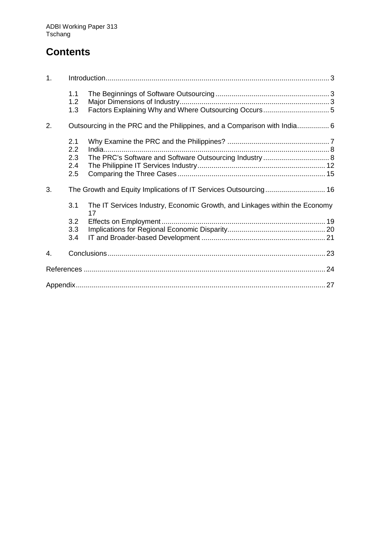# **Contents**

| 1.             |                                 |                                                                                  |  |
|----------------|---------------------------------|----------------------------------------------------------------------------------|--|
|                | 1.1<br>1.2<br>1.3               |                                                                                  |  |
| 2.             |                                 | Outsourcing in the PRC and the Philippines, and a Comparison with India 6        |  |
|                | 2.1<br>2.2<br>2.3<br>2.4<br>2.5 | The PRC's Software and Software Outsourcing Industry 8                           |  |
| 3.             |                                 | The Growth and Equity Implications of IT Services Outsourcing 16                 |  |
|                | 3.1<br>3.2                      | The IT Services Industry, Economic Growth, and Linkages within the Economy<br>17 |  |
|                | 3.3<br>3.4                      |                                                                                  |  |
| $\mathbf{4}$ . |                                 |                                                                                  |  |
|                |                                 |                                                                                  |  |
|                |                                 |                                                                                  |  |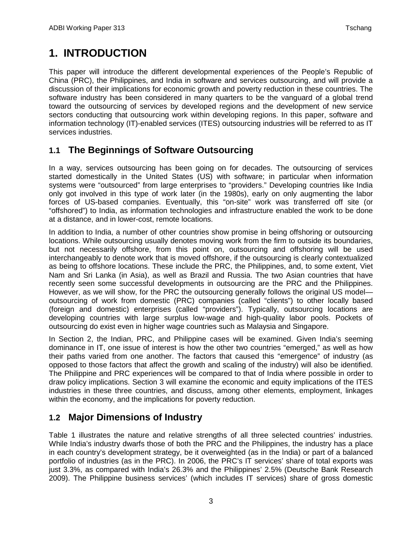# **1. INTRODUCTION**

<span id="page-4-0"></span>This paper will introduce the different developmental experiences of the People's Republic of China (PRC), the Philippines, and India in software and services outsourcing, and will provide a discussion of their implications for economic growth and poverty reduction in these countries. The software industry has been considered in many quarters to be the vanguard of a global trend toward the outsourcing of services by developed regions and the development of new service sectors conducting that outsourcing work within developing regions. In this paper, software and information technology (IT)-enabled services (ITES) outsourcing industries will be referred to as IT services industries.

## **1.1 The Beginnings of Software Outsourcing**

<span id="page-4-1"></span>In a way, services outsourcing has been going on for decades. The outsourcing of services started domestically in the United States (US) with software; in particular when information systems were "outsourced" from large enterprises to "providers." Developing countries like India only got involved in this type of work later (in the 1980s), early on only augmenting the labor forces of US-based companies. Eventually, this "on-site" work was transferred off site (or "offshored") to India, as information technologies and infrastructure enabled the work to be done at a distance, and in lower-cost, remote locations.

In addition to India, a number of other countries show promise in being offshoring or outsourcing locations. While outsourcing usually denotes moving work from the firm to outside its boundaries, but not necessarily offshore, from this point on, outsourcing and offshoring will be used interchangeably to denote work that is moved offshore, if the outsourcing is clearly contextualized as being to offshore locations. These include the PRC, the Philippines, and, to some extent, Viet Nam and Sri Lanka (in Asia), as well as Brazil and Russia. The two Asian countries that have recently seen some successful developments in outsourcing are the PRC and the Philippines. However, as we will show, for the PRC the outsourcing generally follows the original US model outsourcing of work from domestic (PRC) companies (called "clients") to other locally based (foreign and domestic) enterprises (called "providers"). Typically, outsourcing locations are developing countries with large surplus low-wage and high-quality labor pools. Pockets of outsourcing do exist even in higher wage countries such as Malaysia and Singapore.

In Section 2, the Indian, PRC, and Philippine cases will be examined. Given India's seeming dominance in IT, one issue of interest is how the other two countries "emerged," as well as how their paths varied from one another. The factors that caused this "emergence" of industry (as opposed to those factors that affect the growth and scaling of the industry) will also be identified. The Philippine and PRC experiences will be compared to that of India where possible in order to draw policy implications. Section 3 will examine the economic and equity implications of the ITES industries in these three countries, and discuss, among other elements, employment, linkages within the economy, and the implications for poverty reduction.

## **1.2 Major Dimensions of Industry**

<span id="page-4-2"></span>Table 1 illustrates the nature and relative strengths of all three selected countries' industries. While India's industry dwarfs those of both the PRC and the Philippines, the industry has a place in each country's development strategy, be it overweighted (as in the India) or part of a balanced portfolio of industries (as in the PRC). In 2006, the PRC's IT services' share of total exports was just 3.3%, as compared with India's 26.3% and the Philippines' 2.5% (Deutsche Bank Research 2009). The Philippine business services' (which includes IT services) share of gross domestic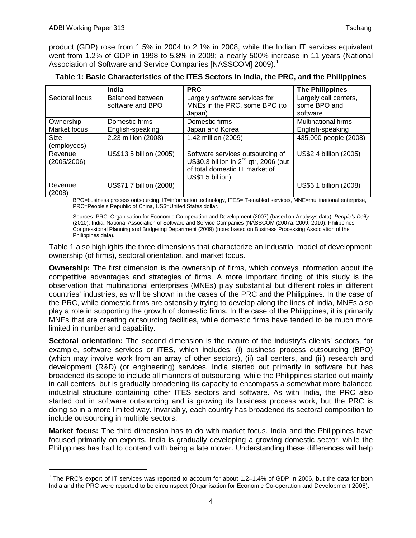product (GDP) rose from 1.5% in 2004 to 2.1% in 2008, while the Indian IT services equivalent went from 1.2% of GDP in 1998 to 5.8% in 2009; a nearly 500% increase in 11 years (National Association of Software and Service Companies [NASSCOM] 2009).<sup>[1](#page-5-0)</sup>

| Table 1: Basic Characteristics of the ITES Sectors in India, the PRC, and the Philippines |
|-------------------------------------------------------------------------------------------|
|-------------------------------------------------------------------------------------------|

|                | India                   | <b>PRC</b>                                 | <b>The Philippines</b>     |  |
|----------------|-------------------------|--------------------------------------------|----------------------------|--|
| Sectoral focus | Balanced between        | Largely software services for              | Largely call centers,      |  |
|                | software and BPO        | MNEs in the PRC, some BPO (to              | some BPO and               |  |
|                |                         | Japan)                                     | software                   |  |
| Ownership      | Domestic firms          | Domestic firms                             | <b>Multinational firms</b> |  |
| Market focus   | English-speaking        | Japan and Korea                            | English-speaking           |  |
| <b>Size</b>    | 2.23 million (2008)     | 1.42 million (2009)                        | 435,000 people (2008)      |  |
| (employees)    |                         |                                            |                            |  |
| Revenue        | US\$13.5 billion (2005) | Software services outsourcing of           | US\$2.4 billion (2005)     |  |
| (2005/2006)    |                         | US\$0.3 billion in $2^{nd}$ qtr, 2006 (out |                            |  |
|                |                         | of total domestic IT market of             |                            |  |
|                |                         | US\$1.5 billion)                           |                            |  |
| Revenue        | US\$71.7 billion (2008) |                                            | US\$6.1 billion (2008)     |  |
| (2008)         |                         |                                            |                            |  |

BPO=business process outsourcing, IT=information technology, ITES=IT-enabled services, MNE=multinational enterprise, PRC=People's Republic of China, US\$=United States dollar.

Sources: PRC: Organisation for Economic Co-operation and Development (2007) (based on Analysys data), *People's Daily* (2010); India: National Association of Software and Service Companies (NASSCOM (2007a, 2009, 2010); Philippines: Congressional Planning and Budgeting Department (2009) (note: based on Business Processing Association of the Philippines data).

Table 1 also highlights the three dimensions that characterize an industrial model of development: ownership (of firms), sectoral orientation, and market focus.

**Ownership:** The first dimension is the ownership of firms, which conveys information about the competitive advantages and strategies of firms. A more important finding of this study is the observation that multinational enterprises (MNEs) play substantial but different roles in different countries' industries, as will be shown in the cases of the PRC and the Philippines. In the case of the PRC, while domestic firms are ostensibly trying to develop along the lines of India, MNEs also play a role in supporting the growth of domestic firms. In the case of the Philippines, it is primarily MNEs that are creating outsourcing facilities, while domestic firms have tended to be much more limited in number and capability.

**Sectoral orientation:** The second dimension is the nature of the industry's clients' sectors, for example, software services or ITES, which includes: (i) business process outsourcing (BPO) (which may involve work from an array of other sectors), (ii) call centers, and (iii) research and development (R&D) (or engineering) services. India started out primarily in software but has broadened its scope to include all manners of outsourcing, while the Philippines started out mainly in call centers, but is gradually broadening its capacity to encompass a somewhat more balanced industrial structure containing other ITES sectors and software. As with India, the PRC also started out in software outsourcing and is growing its business process work, but the PRC is doing so in a more limited way. Invariably, each country has broadened its sectoral composition to include outsourcing in multiple sectors.

**Market focus:** The third dimension has to do with market focus. India and the Philippines have focused primarily on exports. India is gradually developing a growing domestic sector, while the Philippines has had to contend with being a late mover. Understanding these differences will help

<span id="page-5-0"></span> $1$  The PRC's export of IT services was reported to account for about 1.2–1.4% of GDP in 2006, but the data for both India and the PRC were reported to be circumspect (Organisation for Economic Co-operation and Development 2006).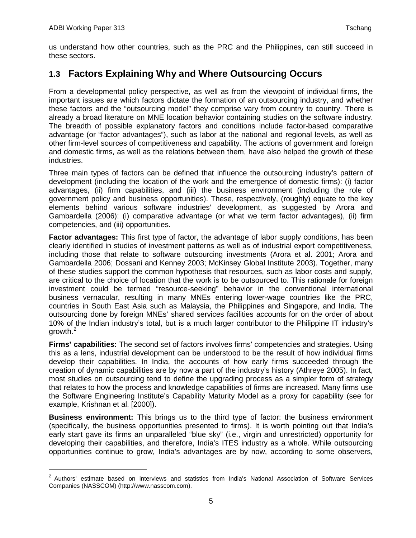us understand how other countries, such as the PRC and the Philippines, can still succeed in these sectors.

### **1.3 Factors Explaining Why and Where Outsourcing Occurs**

<span id="page-6-0"></span>From a developmental policy perspective, as well as from the viewpoint of individual firms, the important issues are which factors dictate the formation of an outsourcing industry, and whether these factors and the "outsourcing model" they comprise vary from country to country. There is already a broad literature on MNE location behavior containing studies on the software industry. The breadth of possible explanatory factors and conditions include factor-based comparative advantage (or "factor advantages"), such as labor at the national and regional levels, as well as other firm-level sources of competitiveness and capability. The actions of government and foreign and domestic firms, as well as the relations between them, have also helped the growth of these industries.

Three main types of factors can be defined that influence the outsourcing industry's pattern of development (including the location of the work and the emergence of domestic firms): (i) factor advantages, (ii) firm capabilities, and (iii) the business environment (including the role of government policy and business opportunities). These, respectively, (roughly) equate to the key elements behind various software industries' development, as suggested by Arora and Gambardella (2006): (i) comparative advantage (or what we term factor advantages), (ii) firm competencies, and (iii) opportunities.

**Factor advantages:** This first type of factor, the advantage of labor supply conditions, has been clearly identified in studies of investment patterns as well as of industrial export competitiveness, including those that relate to software outsourcing investments (Arora et al. 2001; Arora and Gambardella 2006; Dossani and Kenney 2003; McKinsey Global Institute 2003). Together, many of these studies support the common hypothesis that resources, such as labor costs and supply, are critical to the choice of location that the work is to be outsourced to. This rationale for foreign investment could be termed "resource-seeking" behavior in the conventional international business vernacular, resulting in many MNEs entering lower-wage countries like the PRC, countries in South East Asia such as Malaysia, the Philippines and Singapore, and India. The outsourcing done by foreign MNEs' shared services facilities accounts for on the order of about 10% of the Indian industry's total, but is a much larger contributor to the Philippine IT industry's growth.[2](#page-6-1)

**Firms' capabilities:** The second set of factors involves firms' competencies and strategies. Using this as a lens, industrial development can be understood to be the result of how individual firms develop their capabilities. In India, the accounts of how early firms succeeded through the creation of dynamic capabilities are by now a part of the industry's history (Athreye 2005). In fact, most studies on outsourcing tend to define the upgrading process as a simpler form of strategy that relates to how the process and knowledge capabilities of firms are increased. Many firms use the Software Engineering Institute's Capability Maturity Model as a proxy for capability (see for example, Krishnan et al. [2000]).

**Business environment:** This brings us to the third type of factor: the business environment (specifically, the business opportunities presented to firms). It is worth pointing out that India's early start gave its firms an unparalleled "blue sky" (i.e., virgin and unrestricted) opportunity for developing their capabilities, and therefore, India's ITES industry as a whole. While outsourcing opportunities continue to grow, India's advantages are by now, according to some observers,

<span id="page-6-1"></span><sup>&</sup>lt;sup>2</sup> Authors' estimate based on interviews and statistics from India's National Association of Software Services Companies (NASSCOM) (http://www.nasscom.com).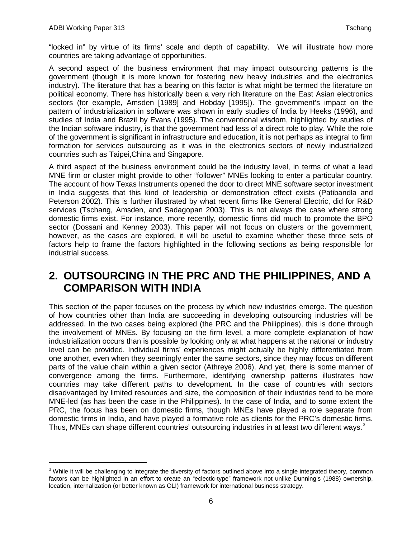"locked in" by virtue of its firms' scale and depth of capability. We will illustrate how more countries are taking advantage of opportunities.

A second aspect of the business environment that may impact outsourcing patterns is the government (though it is more known for fostering new heavy industries and the electronics industry). The literature that has a bearing on this factor is what might be termed the literature on political economy. There has historically been a very rich literature on the East Asian electronics sectors (for example, Amsden [1989] and Hobday [1995]). The government's impact on the pattern of industrialization in software was shown in early studies of India by Heeks (1996), and studies of India and Brazil by Evans (1995). The conventional wisdom, highlighted by studies of the Indian software industry, is that the government had less of a direct role to play. While the role of the government is significant in infrastructure and education, it is not perhaps as integral to firm formation for services outsourcing as it was in the electronics sectors of newly industrialized countries such as Taipei,China and Singapore.

A third aspect of the business environment could be the industry level, in terms of what a lead MNE firm or cluster might provide to other "follower" MNEs looking to enter a particular country. The account of how Texas Instruments opened the door to direct MNE software sector investment in India suggests that this kind of leadership or demonstration effect exists (Patibandla and Peterson 2002). This is further illustrated by what recent firms like General Electric, did for R&D services (Tschang, Amsden, and Sadagopan 2003). This is not always the case where strong domestic firms exist. For instance, more recently, domestic firms did much to promote the BPO sector (Dossani and Kenney 2003). This paper will not focus on clusters or the government, however, as the cases are explored, it will be useful to examine whether these three sets of factors help to frame the factors highlighted in the following sections as being responsible for industrial success.

# **2. OUTSOURCING IN THE PRC AND THE PHILIPPINES, AND A COMPARISON WITH INDIA**

<span id="page-7-0"></span>This section of the paper focuses on the process by which new industries emerge. The question of how countries other than India are succeeding in developing outsourcing industries will be addressed. In the two cases being explored (the PRC and the Philippines), this is done through the involvement of MNEs. By focusing on the firm level, a more complete explanation of how industrialization occurs than is possible by looking only at what happens at the national or industry level can be provided. Individual firms' experiences might actually be highly differentiated from one another, even when they seemingly enter the same sectors, since they may focus on different parts of the value chain within a given sector (Athreye 2006). And yet, there is some manner of convergence among the firms. Furthermore, identifying ownership patterns illustrates how countries may take different paths to development. In the case of countries with sectors disadvantaged by limited resources and size, the composition of their industries tend to be more MNE-led (as has been the case in the Philippines). In the case of India, and to some extent the PRC, the focus has been on domestic firms, though MNEs have played a role separate from domestic firms in India, and have played a formative role as clients for the PRC's domestic firms. Thus, MNEs can shape different countries' outsourcing industries in at least two different ways.<sup>[3](#page-7-1)</sup>

<span id="page-7-1"></span> $3$  While it will be challenging to integrate the diversity of factors outlined above into a single integrated theory, common factors can be highlighted in an effort to create an "eclectic-type" framework not unlike Dunning's (1988) ownership, location, internalization (or better known as OLI) framework for international business strategy.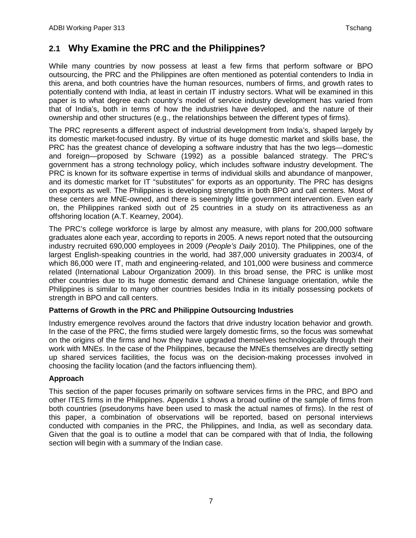## **2.1 Why Examine the PRC and the Philippines?**

<span id="page-8-0"></span>While many countries by now possess at least a few firms that perform software or BPO outsourcing, the PRC and the Philippines are often mentioned as potential contenders to India in this arena, and both countries have the human resources, numbers of firms, and growth rates to potentially contend with India, at least in certain IT industry sectors. What will be examined in this paper is to what degree each country's model of service industry development has varied from that of India's, both in terms of how the industries have developed, and the nature of their ownership and other structures (e.g., the relationships between the different types of firms).

The PRC represents a different aspect of industrial development from India's, shaped largely by its domestic market-focused industry. By virtue of its huge domestic market and skills base, the PRC has the greatest chance of developing a software industry that has the two legs—domestic and foreign—proposed by Schware (1992) as a possible balanced strategy. The PRC's government has a strong technology policy, which includes software industry development. The PRC is known for its software expertise in terms of individual skills and abundance of manpower, and its domestic market for IT "substitutes" for exports as an opportunity. The PRC has designs on exports as well. The Philippines is developing strengths in both BPO and call centers. Most of these centers are MNE-owned, and there is seemingly little government intervention. Even early on, the Philippines ranked sixth out of 25 countries in a study on its attractiveness as an offshoring location (A.T. Kearney, 2004).

The PRC's college workforce is large by almost any measure, with plans for 200,000 software graduates alone each year, according to reports in 2005. A news report noted that the outsourcing industry recruited 690,000 employees in 2009 (*People's Daily* 2010). The Philippines, one of the largest English-speaking countries in the world, had 387,000 university graduates in 2003/4, of which 86,000 were IT, math and engineering-related, and 101,000 were business and commerce related (International Labour Organization 2009). In this broad sense, the PRC is unlike most other countries due to its huge domestic demand and Chinese language orientation, while the Philippines is similar to many other countries besides India in its initially possessing pockets of strength in BPO and call centers.

#### **Patterns of Growth in the PRC and Philippine Outsourcing Industries**

Industry emergence revolves around the factors that drive industry location behavior and growth. In the case of the PRC, the firms studied were largely domestic firms, so the focus was somewhat on the origins of the firms and how they have upgraded themselves technologically through their work with MNEs. In the case of the Philippines, because the MNEs themselves are directly setting up shared services facilities, the focus was on the decision-making processes involved in choosing the facility location (and the factors influencing them).

#### **Approach**

This section of the paper focuses primarily on software services firms in the PRC, and BPO and other ITES firms in the Philippines. Appendix 1 shows a broad outline of the sample of firms from both countries (pseudonyms have been used to mask the actual names of firms). In the rest of this paper, a combination of observations will be reported, based on personal interviews conducted with companies in the PRC, the Philippines, and India, as well as secondary data. Given that the goal is to outline a model that can be compared with that of India, the following section will begin with a summary of the Indian case.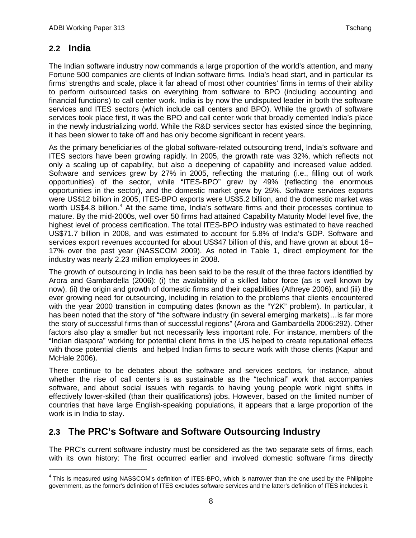## **2.2 India**

<span id="page-9-0"></span>The Indian software industry now commands a large proportion of the world's attention, and many Fortune 500 companies are clients of Indian software firms. India's head start, and in particular its firms' strengths and scale, place it far ahead of most other countries' firms in terms of their ability to perform outsourced tasks on everything from software to BPO (including accounting and financial functions) to call center work. India is by now the undisputed leader in both the software services and ITES sectors (which include call centers and BPO). While the growth of software services took place first, it was the BPO and call center work that broadly cemented India's place in the newly industrializing world. While the R&D services sector has existed since the beginning, it has been slower to take off and has only become significant in recent years.

As the primary beneficiaries of the global software-related outsourcing trend, India's software and ITES sectors have been growing rapidly. In 2005, the growth rate was 32%, which reflects not only a scaling up of capability, but also a deepening of capability and increased value added. Software and services grew by 27% in 2005, reflecting the maturing (i.e., filling out of work opportunities) of the sector, while "ITES-BPO" grew by 49% (reflecting the enormous opportunities in the sector), and the domestic market grew by 25%. Software services exports were US\$12 billion in 2005, ITES-BPO exports were US\$5.2 billion, and the domestic market was worth US\$[4](#page-9-2).8 billion.<sup>4</sup> At the same time, India's software firms and their processes continue to mature. By the mid-2000s, well over 50 firms had attained Capability Maturity Model level five, the highest level of process certification. The total ITES-BPO industry was estimated to have reached US\$71.7 billion in 2008, and was estimated to account for 5.8% of India's GDP. Software and services export revenues accounted for about US\$47 billion of this, and have grown at about 16– 17% over the past year (NASSCOM 2009). As noted in Table 1, direct employment for the industry was nearly 2.23 million employees in 2008.

The growth of outsourcing in India has been said to be the result of the three factors identified by Arora and Gambardella (2006): (i) the availability of a skilled labor force (as is well known by now), (ii) the origin and growth of domestic firms and their capabilities (Athreye 2006), and (iii) the ever growing need for outsourcing, including in relation to the problems that clients encountered with the year 2000 transition in computing dates (known as the "Y2K" problem). In particular, it has been noted that the story of "the software industry (in several emerging markets)... is far more the story of successful firms than of successful regions" (Arora and Gambardella 2006:292). Other factors also play a smaller but not necessarily less important role. For instance, members of the "Indian diaspora" working for potential client firms in the US helped to create reputational effects with those potential clients and helped Indian firms to secure work with those clients (Kapur and McHale 2006).

There continue to be debates about the software and services sectors, for instance, about whether the rise of call centers is as sustainable as the "technical" work that accompanies software, and about social issues with regards to having young people work night shifts in effectively lower-skilled (than their qualifications) jobs. However, based on the limited number of countries that have large English-speaking populations, it appears that a large proportion of the work is in India to stay.

## **2.3 The PRC's Software and Software Outsourcing Industry**

<span id="page-9-1"></span>The PRC's current software industry must be considered as the two separate sets of firms, each with its own history: The first occurred earlier and involved domestic software firms directly

<span id="page-9-2"></span><sup>&</sup>lt;sup>4</sup> This is measured using NASSCOM's definition of ITES-BPO, which is narrower than the one used by the Philippine government, as the former's definition of ITES excludes software services and the latter's definition of ITES includes it.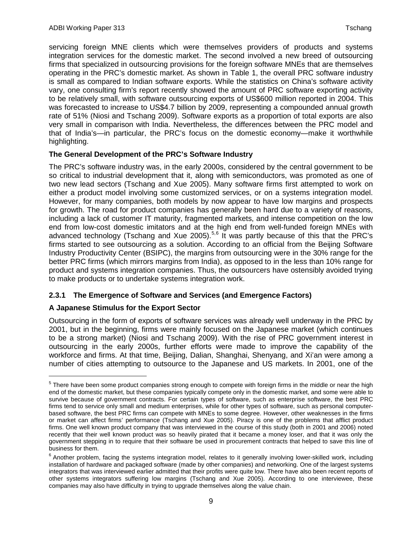servicing foreign MNE clients which were themselves providers of products and systems integration services for the domestic market. The second involved a new breed of outsourcing firms that specialized in outsourcing provisions for the foreign software MNEs that are themselves operating in the PRC's domestic market. As shown in Table 1, the overall PRC software industry is small as compared to Indian software exports. While the statistics on China's software activity vary, one consulting firm's report recently showed the amount of PRC software exporting activity to be relatively small, with software outsourcing exports of US\$600 million reported in 2004. This was forecasted to increase to US\$4.7 billion by 2009, representing a compounded annual growth rate of 51% (Niosi and Tschang 2009). Software exports as a proportion of total exports are also very small in comparison with India. Nevertheless, the differences between the PRC model and that of India's—in particular, the PRC's focus on the domestic economy—make it worthwhile highlighting.

#### **The General Development of the PRC's Software Industry**

The PRC's software industry was, in the early 2000s, considered by the central government to be so critical to industrial development that it, along with semiconductors, was promoted as one of two new lead sectors (Tschang and Xue 2005). Many software firms first attempted to work on either a product model involving some customized services, or on a systems integration model. However, for many companies, both models by now appear to have low margins and prospects for growth. The road for product companies has generally been hard due to a variety of reasons, including a lack of customer IT maturity, fragmented markets, and intense competition on the low end from low-cost domestic imitators and at the high end from well-funded foreign MNEs with advanced technology (Tschang and Xue 2005).<sup>[5,](#page-10-0)[6](#page-10-1)</sup> It was partly because of this that the PRC's firms started to see outsourcing as a solution. According to an official from the Beijing Software Industry Productivity Center (BSIPC), the margins from outsourcing were in the 30% range for the better PRC firms (which mirrors margins from India), as opposed to in the less than 10% range for product and systems integration companies. Thus, the outsourcers have ostensibly avoided trying to make products or to undertake systems integration work.

#### **2.3.1 The Emergence of Software and Services (and Emergence Factors)**

#### **A Japanese Stimulus for the Export Sector**

Outsourcing in the form of exports of software services was already well underway in the PRC by 2001, but in the beginning, firms were mainly focused on the Japanese market (which continues to be a strong market) (Niosi and Tschang 2009). With the rise of PRC government interest in outsourcing in the early 2000s, further efforts were made to improve the capability of the workforce and firms. At that time, Beijing, Dalian, Shanghai, Shenyang, and Xi'an were among a number of cities attempting to outsource to the Japanese and US markets. In 2001, one of the

<span id="page-10-0"></span><sup>&</sup>lt;sup>5</sup> There have been some product companies strong enough to compete with foreign firms in the middle or near the high end of the domestic market, but these companies typically compete only in the domestic market, and some were able to survive because of government contracts. For certain types of software, such as enterprise software, the best PRC firms tend to service only small and medium enterprises, while for other types of software, such as personal computerbased software, the best PRC firms can compete with MNEs to some degree. However, other weaknesses in the firms or market can affect firms' performance (Tschang and Xue 2005). Piracy is one of the problems that afflict product firms. One well known product company that was interviewed in the course of this study (both in 2001 and 2006) noted recently that their well known product was so heavily pirated that it became a money loser, and that it was only the government stepping in to require that their software be used in procurement contracts that helped to save this line of business for them.

<span id="page-10-1"></span> $6$  Another problem, facing the systems integration model, relates to it generally involving lower-skilled work, including installation of hardware and packaged software (made by other companies) and networking. One of the largest systems integrators that was interviewed earlier admitted that their profits were quite low. There have also been recent reports of other systems integrators suffering low margins (Tschang and Xue 2005). According to one interviewee, these companies may also have difficulty in trying to upgrade themselves along the value chain.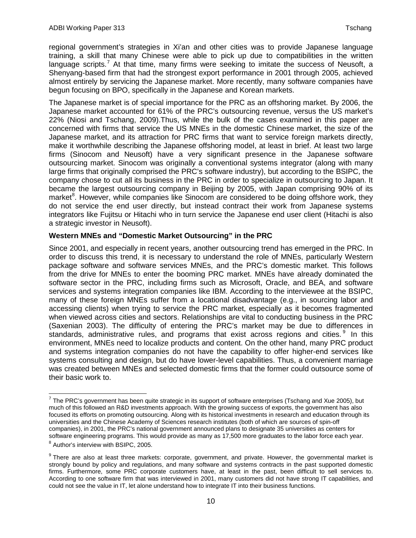regional government's strategies in Xi'an and other cities was to provide Japanese language training, a skill that many Chinese were able to pick up due to compatibilities in the written language scripts.<sup>[7](#page-11-0)</sup> At that time, many firms were seeking to imitate the success of Neusoft, a Shenyang-based firm that had the strongest export performance in 2001 through 2005, achieved almost entirely by servicing the Japanese market. More recently, many software companies have begun focusing on BPO, specifically in the Japanese and Korean markets.

The Japanese market is of special importance for the PRC as an offshoring market. By 2006, the Japanese market accounted for 61% of the PRC's outsourcing revenue, versus the US market's 22% (Niosi and Tschang, 2009).Thus, while the bulk of the cases examined in this paper are concerned with firms that service the US MNEs in the domestic Chinese market, the size of the Japanese market, and its attraction for PRC firms that want to service foreign markets directly, make it worthwhile describing the Japanese offshoring model, at least in brief. At least two large firms (Sinocom and Neusoft) have a very significant presence in the Japanese software outsourcing market. Sinocom was originally a conventional systems integrator (along with many large firms that originally comprised the PRC's software industry), but according to the BSIPC, the company chose to cut all its business in the PRC in order to specialize in outsourcing to Japan. It became the largest outsourcing company in Beijing by 2005, with Japan comprising 90% of its market<sup>[8](#page-11-1)</sup>. However, while companies like Sinocom are considered to be doing offshore work, they do not service the end user directly, but instead contract their work from Japanese systems integrators like Fujitsu or Hitachi who in turn service the Japanese end user client (Hitachi is also a strategic investor in Neusoft).

#### **Western MNEs and "Domestic Market Outsourcing" in the PRC**

Since 2001, and especially in recent years, another outsourcing trend has emerged in the PRC. In order to discuss this trend, it is necessary to understand the role of MNEs, particularly Western package software and software services MNEs, and the PRC's domestic market. This follows from the drive for MNEs to enter the booming PRC market. MNEs have already dominated the software sector in the PRC, including firms such as Microsoft, Oracle, and BEA, and software services and systems integration companies like IBM. According to the interviewee at the BSIPC, many of these foreign MNEs suffer from a locational disadvantage (e.g., in sourcing labor and accessing clients) when trying to service the PRC market, especially as it becomes fragmented when viewed across cities and sectors. Relationships are vital to conducting business in the PRC (Saxenian 2003). The difficulty of entering the PRC's market may be due to differences in standards, administrative rules, and programs that exist across regions and cities.<sup>[9](#page-11-2)</sup> In this environment, MNEs need to localize products and content. On the other hand, many PRC product and systems integration companies do not have the capability to offer higher-end services like systems consulting and design, but do have lower-level capabilities. Thus, a convenient marriage was created between MNEs and selected domestic firms that the former could outsource some of their basic work to.

<span id="page-11-0"></span> $7$  The PRC's government has been quite strategic in its support of software enterprises (Tschang and Xue 2005), but much of this followed an R&D investments approach. With the growing success of exports, the government has also focused its efforts on promoting outsourcing. Along with its historical investments in research and education through its universities and the Chinese Academy of Sciences research institutes (both of which are sources of spin-off companies), in 2001, the PRC's national government announced plans to designate 35 universities as centers for software engineering programs. This would provide as many as 17,500 more graduates to the labor force each year. <sup>8</sup> Author's interview with BSIPC, 2005.

<span id="page-11-2"></span><span id="page-11-1"></span><sup>&</sup>lt;sup>9</sup> There are also at least three markets: corporate, government, and private. However, the governmental market is strongly bound by policy and regulations, and many software and systems contracts in the past supported domestic firms. Furthermore, some PRC corporate customers have, at least in the past, been difficult to sell services to. According to one software firm that was interviewed in 2001, many customers did not have strong IT capabilities, and could not see the value in IT, let alone understand how to integrate IT into their business functions.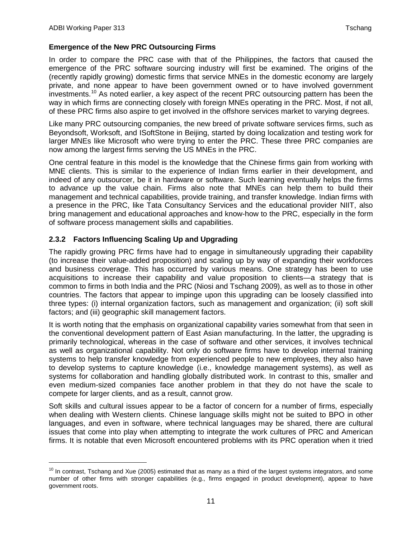#### **Emergence of the New PRC Outsourcing Firms**

In order to compare the PRC case with that of the Philippines, the factors that caused the emergence of the PRC software sourcing industry will first be examined. The origins of the (recently rapidly growing) domestic firms that service MNEs in the domestic economy are largely private, and none appear to have been government owned or to have involved government investments.<sup>[10](#page-12-0)</sup> As noted earlier, a key aspect of the recent PRC outsourcing pattern has been the way in which firms are connecting closely with foreign MNEs operating in the PRC. Most, if not all, of these PRC firms also aspire to get involved in the offshore services market to varying degrees.

Like many PRC outsourcing companies, the new breed of private software services firms, such as Beyondsoft, Worksoft, and ISoftStone in Beijing, started by doing localization and testing work for larger MNEs like Microsoft who were trying to enter the PRC. These three PRC companies are now among the largest firms serving the US MNEs in the PRC.

One central feature in this model is the knowledge that the Chinese firms gain from working with MNE clients. This is similar to the experience of Indian firms earlier in their development, and indeed of any outsourcer, be it in hardware or software. Such learning eventually helps the firms to advance up the value chain. Firms also note that MNEs can help them to build their management and technical capabilities, provide training, and transfer knowledge. Indian firms with a presence in the PRC, like Tata Consultancy Services and the educational provider NIIT, also bring management and educational approaches and know-how to the PRC, especially in the form of software process management skills and capabilities.

#### **2.3.2 Factors Influencing Scaling Up and Upgrading**

The rapidly growing PRC firms have had to engage in simultaneously upgrading their capability (to increase their value-added proposition) and scaling up by way of expanding their workforces and business coverage. This has occurred by various means. One strategy has been to use acquisitions to increase their capability and value proposition to clients—a strategy that is common to firms in both India and the PRC (Niosi and Tschang 2009), as well as to those in other countries. The factors that appear to impinge upon this upgrading can be loosely classified into three types: (i) internal organization factors, such as management and organization; (ii) soft skill factors; and (iii) geographic skill management factors.

It is worth noting that the emphasis on organizational capability varies somewhat from that seen in the conventional development pattern of East Asian manufacturing. In the latter, the upgrading is primarily technological, whereas in the case of software and other services, it involves technical as well as organizational capability. Not only do software firms have to develop internal training systems to help transfer knowledge from experienced people to new employees, they also have to develop systems to capture knowledge (i.e., knowledge management systems), as well as systems for collaboration and handling globally distributed work. In contrast to this, smaller and even medium-sized companies face another problem in that they do not have the scale to compete for larger clients, and as a result, cannot grow.

Soft skills and cultural issues appear to be a factor of concern for a number of firms, especially when dealing with Western clients. Chinese language skills might not be suited to BPO in other languages, and even in software, where technical languages may be shared, there are cultural issues that come into play when attempting to integrate the work cultures of PRC and American firms. It is notable that even Microsoft encountered problems with its PRC operation when it tried

<span id="page-12-0"></span> $10$  In contrast, Tschang and Xue (2005) estimated that as many as a third of the largest systems integrators, and some number of other firms with stronger capabilities (e.g., firms engaged in product development), appear to have government roots.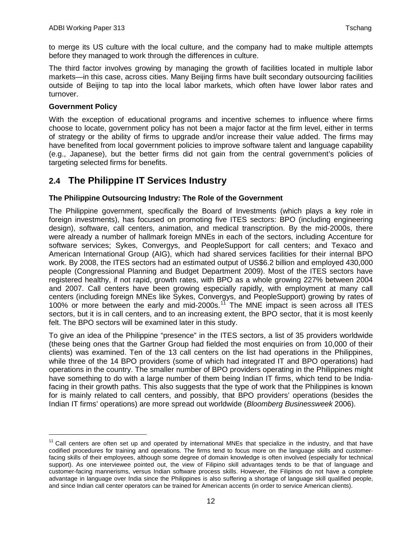to merge its US culture with the local culture, and the company had to make multiple attempts before they managed to work through the differences in culture.

The third factor involves growing by managing the growth of facilities located in multiple labor markets—in this case, across cities. Many Beijing firms have built secondary outsourcing facilities outside of Beijing to tap into the local labor markets, which often have lower labor rates and turnover.

#### **Government Policy**

With the exception of educational programs and incentive schemes to influence where firms choose to locate, government policy has not been a major factor at the firm level, either in terms of strategy or the ability of firms to upgrade and/or increase their value added. The firms may have benefited from local government policies to improve software talent and language capability (e.g., Japanese), but the better firms did not gain from the central government's policies of targeting selected firms for benefits.

### **2.4 The Philippine IT Services Industry**

#### **The Philippine Outsourcing Industry: The Role of the Government**

<span id="page-13-0"></span>The Philippine government, specifically the Board of Investments (which plays a key role in foreign investments), has focused on promoting five ITES sectors: BPO (including engineering design), software, call centers, animation, and medical transcription. By the mid-2000s, there were already a number of hallmark foreign MNEs in each of the sectors, including Accenture for software services; Sykes, Convergys, and PeopleSupport for call centers; and Texaco and American International Group (AIG), which had shared services facilities for their internal BPO work. By 2008, the ITES sectors had an estimated output of US\$6.2 billion and employed 430,000 people (Congressional Planning and Budget Department 2009). Most of the ITES sectors have registered healthy, if not rapid, growth rates, with BPO as a whole growing 227% between 2004 and 2007. Call centers have been growing especially rapidly, with employment at many call centers (including foreign MNEs like Sykes, Convergys, and PeopleSupport) growing by rates of 100% or more between the early and mid-2000s.<sup>[11](#page-13-1)</sup> The MNE impact is seen across all ITES sectors, but it is in call centers, and to an increasing extent, the BPO sector, that it is most keenly felt. The BPO sectors will be examined later in this study.

To give an idea of the Philippine "presence" in the ITES sectors, a list of 35 providers worldwide (these being ones that the Gartner Group had fielded the most enquiries on from 10,000 of their clients) was examined. Ten of the 13 call centers on the list had operations in the Philippines, while three of the 14 BPO providers (some of which had integrated IT and BPO operations) had operations in the country. The smaller number of BPO providers operating in the Philippines might have something to do with a large number of them being Indian IT firms, which tend to be Indiafacing in their growth paths. This also suggests that the type of work that the Philippines is known for is mainly related to call centers, and possibly, that BPO providers' operations (besides the Indian IT firms' operations) are more spread out worldwide (*Bloomberg Businessweek* 2006).

<span id="page-13-1"></span><sup>&</sup>lt;sup>11</sup> Call centers are often set up and operated by international MNEs that specialize in the industry, and that have codified procedures for training and operations. The firms tend to focus more on the language skills and customerfacing skills of their employees, although some degree of domain knowledge is often involved (especially for technical support). As one interviewee pointed out, the view of Filipino skill advantages tends to be that of language and customer-facing mannerisms, versus Indian software process skills. However, the Filipinos do not have a complete advantage in language over India since the Philippines is also suffering a shortage of language skill qualified people, and since Indian call center operators can be trained for American accents (in order to service American clients).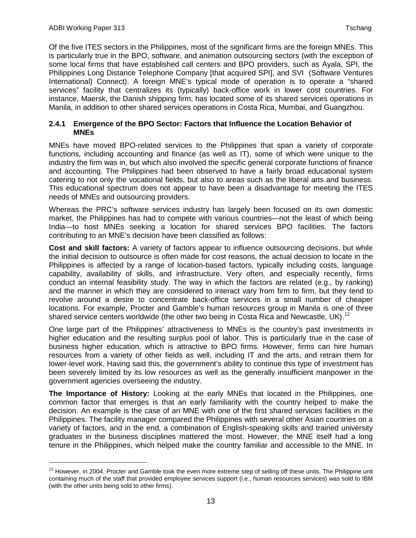Of the five ITES sectors in the Philippines, most of the significant firms are the foreign MNEs. This is particularly true in the BPO, software, and animation outsourcing sectors (with the exception of some local firms that have established call centers and BPO providers, such as Ayala, SPI, the Philippines Long Distance Telephone Company [that acquired SPI], and SVI (Software Ventures International) Connect). A foreign MNE's typical mode of operation is to operate a "shared services" facility that centralizes its (typically) back-office work in lower cost countries. For instance, Maersk, the Danish shipping firm, has located some of its shared services operations in Manila, in addition to other shared services operations in Costa Rica, Mumbai, and Guangzhou.

#### **2.4.1 Emergence of the BPO Sector: Factors that Influence the Location Behavior of MNEs**

MNEs have moved BPO-related services to the Philippines that span a variety of corporate functions, including accounting and finance (as well as IT), some of which were unique to the industry the firm was in, but which also involved the specific general corporate functions of finance and accounting. The Philippines had been observed to have a fairly broad educational system catering to not only the vocational fields, but also to areas such as the liberal arts and business. This educational spectrum does not appear to have been a disadvantage for meeting the ITES needs of MNEs and outsourcing providers.

Whereas the PRC's software services industry has largely been focused on its own domestic market, the Philippines has had to compete with various countries—not the least of which being India—to host MNEs seeking a location for shared services BPO facilities. The factors contributing to an MNE's decision have been classified as follows:

**Cost and skill factors:** A variety of factors appear to influence outsourcing decisions, but while the initial decision to outsource is often made for cost reasons, the actual decision to locate in the Philippines is affected by a range of location-based factors, typically including costs, language capability, availability of skills, and infrastructure. Very often, and especially recently, firms conduct an internal feasibility study. The way in which the factors are related (e.g., by ranking) and the manner in which they are considered to interact vary from firm to firm, but they tend to revolve around a desire to concentrate back-office services in a small number of cheaper locations. For example, Procter and Gamble's human resources group in Manila is one of three shared service centers worldwide (the other two being in Costa Rica and Newcastle, UK).<sup>[12](#page-14-0)</sup>

One large part of the Philippines' attractiveness to MNEs is the country's past investments in higher education and the resulting surplus pool of labor. This is particularly true in the case of business higher education, which is attractive to BPO firms. However, firms can hire human resources from a variety of other fields as well, including IT and the arts, and retrain them for lower-level work. Having said this, the government's ability to continue this type of investment has been severely limited by its low resources as well as the generally insufficient manpower in the government agencies overseeing the industry.

**The Importance of History:** Looking at the early MNEs that located in the Philippines, one common factor that emerges is that an early familiarity with the country helped to make the decision. An example is the case of an MNE with one of the first shared services facilities in the Philippines. The facility manager compared the Philippines with several other Asian countries on a variety of factors, and in the end, a combination of English-speaking skills and trained university graduates in the business disciplines mattered the most. However, the MNE itself had a long tenure in the Philippines, which helped make the country familiar and accessible to the MNE. In

<span id="page-14-0"></span> $12$  However, in 2004, Procter and Gamble took the even more extreme step of selling off these units. The Philippine unit containing much of the staff that provided employee services support (i.e., human resources services) was sold to IBM (with the other units being sold to other firms).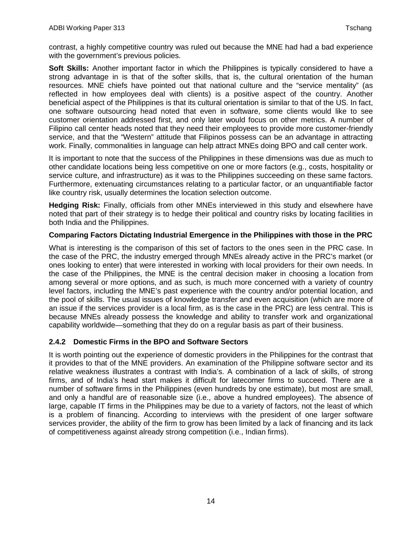contrast, a highly competitive country was ruled out because the MNE had had a bad experience with the government's previous policies.

**Soft Skills:** Another important factor in which the Philippines is typically considered to have a strong advantage in is that of the softer skills, that is, the cultural orientation of the human resources. MNE chiefs have pointed out that national culture and the "service mentality" (as reflected in how employees deal with clients) is a positive aspect of the country. Another beneficial aspect of the Philippines is that its cultural orientation is similar to that of the US. In fact, one software outsourcing head noted that even in software, some clients would like to see customer orientation addressed first, and only later would focus on other metrics. A number of Filipino call center heads noted that they need their employees to provide more customer-friendly service, and that the "Western" attitude that Filipinos possess can be an advantage in attracting work. Finally, commonalities in language can help attract MNEs doing BPO and call center work.

It is important to note that the success of the Philippines in these dimensions was due as much to other candidate locations being less competitive on one or more factors (e.g., costs, hospitality or service culture, and infrastructure) as it was to the Philippines succeeding on these same factors. Furthermore, extenuating circumstances relating to a particular factor, or an unquantifiable factor like country risk, usually determines the location selection outcome.

**Hedging Risk:** Finally, officials from other MNEs interviewed in this study and elsewhere have noted that part of their strategy is to hedge their political and country risks by locating facilities in both India and the Philippines.

#### **Comparing Factors Dictating Industrial Emergence in the Philippines with those in the PRC**

What is interesting is the comparison of this set of factors to the ones seen in the PRC case. In the case of the PRC, the industry emerged through MNEs already active in the PRC's market (or ones looking to enter) that were interested in working with local providers for their own needs. In the case of the Philippines, the MNE is the central decision maker in choosing a location from among several or more options, and as such, is much more concerned with a variety of country level factors, including the MNE's past experience with the country and/or potential location, and the pool of skills. The usual issues of knowledge transfer and even acquisition (which are more of an issue if the services provider is a local firm, as is the case in the PRC) are less central. This is because MNEs already possess the knowledge and ability to transfer work and organizational capability worldwide—something that they do on a regular basis as part of their business.

#### **2.4.2 Domestic Firms in the BPO and Software Sectors**

It is worth pointing out the experience of domestic providers in the Philippines for the contrast that it provides to that of the MNE providers. An examination of the Philippine software sector and its relative weakness illustrates a contrast with India's. A combination of a lack of skills, of strong firms, and of India's head start makes it difficult for latecomer firms to succeed. There are a number of software firms in the Philippines (even hundreds by one estimate), but most are small, and only a handful are of reasonable size (i.e., above a hundred employees). The absence of large, capable IT firms in the Philippines may be due to a variety of factors, not the least of which is a problem of financing. According to interviews with the president of one larger software services provider, the ability of the firm to grow has been limited by a lack of financing and its lack of competitiveness against already strong competition (i.e., Indian firms).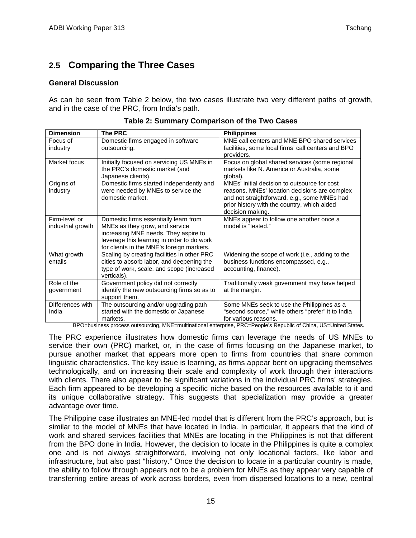## **2.5 Comparing the Three Cases**

#### **General Discussion**

<span id="page-16-0"></span>As can be seen from Table 2 below, the two cases illustrate two very different paths of growth, and in the case of the PRC, from India's path.

| <b>Dimension</b>  | The PRC                                     | <b>Philippines</b>                                 |
|-------------------|---------------------------------------------|----------------------------------------------------|
| Focus of          | Domestic firms engaged in software          | MNE call centers and MNE BPO shared services       |
| industry          | outsourcing.                                | facilities, some local firms' call centers and BPO |
|                   |                                             | providers.                                         |
| Market focus      | Initially focused on servicing US MNEs in   | Focus on global shared services (some regional     |
|                   | the PRC's domestic market (and              | markets like N. America or Australia, some         |
|                   | Japanese clients).                          | global).                                           |
| Origins of        | Domestic firms started independently and    | MNEs' initial decision to outsource for cost       |
| industry          | were needed by MNEs to service the          | reasons. MNEs' location decisions are complex      |
|                   | domestic market.                            | and not straightforward, e.g., some MNEs had       |
|                   |                                             | prior history with the country, which aided        |
|                   |                                             | decision making.                                   |
| Firm-level or     | Domestic firms essentially learn from       | MNEs appear to follow one another once a           |
| industrial growth | MNEs as they grow, and service              | model is "tested."                                 |
|                   | increasing MNE needs. They aspire to        |                                                    |
|                   | leverage this learning in order to do work  |                                                    |
|                   | for clients in the MNE's foreign markets.   |                                                    |
| What growth       | Scaling by creating facilities in other PRC | Widening the scope of work (i.e., adding to the    |
| entails           | cities to absorb labor, and deepening the   | business functions encompassed, e.g.,              |
|                   | type of work, scale, and scope (increased   | accounting, finance).                              |
|                   | verticals).                                 |                                                    |
| Role of the       | Government policy did not correctly         | Traditionally weak government may have helped      |
| government        | identify the new outsourcing firms so as to | at the margin.                                     |
|                   | support them.                               |                                                    |
| Differences with  | The outsourcing and/or upgrading path       | Some MNEs seek to use the Philippines as a         |
| India             | started with the domestic or Japanese       | "second source," while others "prefer" it to India |
|                   | markets.                                    | for various reasons.                               |

**Table 2: Summary Comparison of the Two Cases**

BPO=business process outsourcing, MNE=multinational enterprise, PRC=People's Republic of China, US=United States.

The PRC experience illustrates how domestic firms can leverage the needs of US MNEs to service their own (PRC) market, or, in the case of firms focusing on the Japanese market, to pursue another market that appears more open to firms from countries that share common linguistic characteristics. The key issue is learning, as firms appear bent on upgrading themselves technologically, and on increasing their scale and complexity of work through their interactions with clients. There also appear to be significant variations in the individual PRC firms' strategies. Each firm appeared to be developing a specific niche based on the resources available to it and its unique collaborative strategy. This suggests that specialization may provide a greater advantage over time.

The Philippine case illustrates an MNE-led model that is different from the PRC's approach, but is similar to the model of MNEs that have located in India. In particular, it appears that the kind of work and shared services facilities that MNEs are locating in the Philippines is not that different from the BPO done in India. However, the decision to locate in the Philippines is quite a complex one and is not always straightforward, involving not only locational factors, like labor and infrastructure, but also past "history." Once the decision to locate in a particular country is made, the ability to follow through appears not to be a problem for MNEs as they appear very capable of transferring entire areas of work across borders, even from dispersed locations to a new, central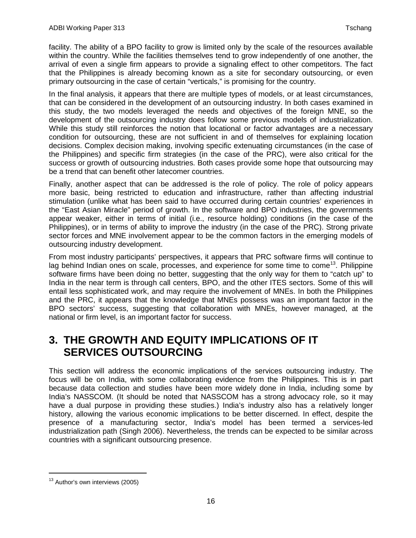facility. The ability of a BPO facility to grow is limited only by the scale of the resources available within the country. While the facilities themselves tend to grow independently of one another, the arrival of even a single firm appears to provide a signaling effect to other competitors. The fact that the Philippines is already becoming known as a site for secondary outsourcing, or even primary outsourcing in the case of certain "verticals," is promising for the country.

In the final analysis, it appears that there are multiple types of models, or at least circumstances, that can be considered in the development of an outsourcing industry. In both cases examined in this study, the two models leveraged the needs and objectives of the foreign MNE, so the development of the outsourcing industry does follow some previous models of industrialization. While this study still reinforces the notion that locational or factor advantages are a necessary condition for outsourcing, these are not sufficient in and of themselves for explaining location decisions. Complex decision making, involving specific extenuating circumstances (in the case of the Philippines) and specific firm strategies (in the case of the PRC), were also critical for the success or growth of outsourcing industries. Both cases provide some hope that outsourcing may be a trend that can benefit other latecomer countries.

Finally, another aspect that can be addressed is the role of policy. The role of policy appears more basic, being restricted to education and infrastructure, rather than affecting industrial stimulation (unlike what has been said to have occurred during certain countries' experiences in the "East Asian Miracle" period of growth. In the software and BPO industries, the governments appear weaker, either in terms of initial (i.e., resource holding) conditions (in the case of the Philippines), or in terms of ability to improve the industry (in the case of the PRC). Strong private sector forces and MNE involvement appear to be the common factors in the emerging models of outsourcing industry development.

From most industry participants' perspectives, it appears that PRC software firms will continue to lag behind Indian ones on scale, processes, and experience for some time to come<sup>[13](#page-17-1)</sup>. Philippine software firms have been doing no better, suggesting that the only way for them to "catch up" to India in the near term is through call centers, BPO, and the other ITES sectors. Some of this will entail less sophisticated work, and may require the involvement of MNEs. In both the Philippines and the PRC, it appears that the knowledge that MNEs possess was an important factor in the BPO sectors' success, suggesting that collaboration with MNEs, however managed, at the national or firm level, is an important factor for success.

# **3. THE GROWTH AND EQUITY IMPLICATIONS OF IT SERVICES OUTSOURCING**

<span id="page-17-0"></span>This section will address the economic implications of the services outsourcing industry. The focus will be on India, with some collaborating evidence from the Philippines. This is in part because data collection and studies have been more widely done in India, including some by India's NASSCOM. (It should be noted that NASSCOM has a strong advocacy role, so it may have a dual purpose in providing these studies.) India's industry also has a relatively longer history, allowing the various economic implications to be better discerned. In effect, despite the presence of a manufacturing sector, India's model has been termed a services-led industrialization path (Singh 2006). Nevertheless, the trends can be expected to be similar across countries with a significant outsourcing presence.

<span id="page-17-1"></span><sup>&</sup>lt;sup>13</sup> Author's own interviews (2005)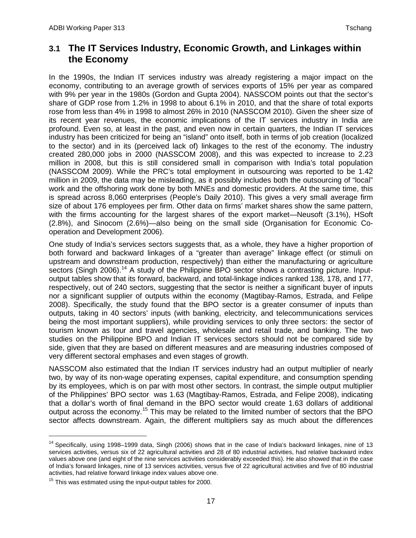### **3.1 The IT Services Industry, Economic Growth, and Linkages within the Economy**

<span id="page-18-0"></span>In the 1990s, the Indian IT services industry was already registering a major impact on the economy, contributing to an average growth of services exports of 15% per year as compared with 9% per year in the 1980s (Gordon and Gupta 2004). NASSCOM points out that the sector's share of GDP rose from 1.2% in 1998 to about 6.1% in 2010, and that the share of total exports rose from less than 4% in 1998 to almost 26% in 2010 (NASSCOM 2010). Given the sheer size of its recent year revenues, the economic implications of the IT services industry in India are profound. Even so, at least in the past, and even now in certain quarters, the Indian IT services industry has been criticized for being an "island" onto itself, both in terms of job creation (localized to the sector) and in its (perceived lack of) linkages to the rest of the economy. The industry created 280,000 jobs in 2000 (NASSCOM 2008), and this was expected to increase to 2.23 million in 2008, but this is still considered small in comparison with India's total population (NASSCOM 2009). While the PRC's total employment in outsourcing was reported to be 1.42 million in 2009, the data may be misleading, as it possibly includes both the outsourcing of "local" work and the offshoring work done by both MNEs and domestic providers. At the same time, this is spread across 8,060 enterprises (People's Daily 2010). This gives a very small average firm size of about 176 employees per firm. Other data on firms' market shares show the same pattern, with the firms accounting for the largest shares of the export market—Neusoft (3.1%), HSoft (2.8%), and Sinocom (2.6%)—also being on the small side (Organisation for Economic Cooperation and Development 2006).

One study of India's services sectors suggests that, as a whole, they have a higher proportion of both forward and backward linkages of a "greater than average" linkage effect (or stimuli on upstream and downstream production, respectively) than either the manufacturing or agriculture sectors (Singh 2006).<sup>[14](#page-18-1)</sup> A study of the Philippine BPO sector shows a contrasting picture. Inputoutput tables show that its forward, backward, and total-linkage indices ranked 138, 178, and 177, respectively, out of 240 sectors, suggesting that the sector is neither a significant buyer of inputs nor a significant supplier of outputs within the economy (Magtibay-Ramos, Estrada, and Felipe 2008). Specifically, the study found that the BPO sector is a greater consumer of inputs than outputs, taking in 40 sectors' inputs (with banking, electricity, and telecommunications services being the most important suppliers), while providing services to only three sectors: the sector of tourism known as tour and travel agencies, wholesale and retail trade, and banking. The two studies on the Philippine BPO and Indian IT services sectors should not be compared side by side, given that they are based on different measures and are measuring industries composed of very different sectoral emphases and even stages of growth.

NASSCOM also estimated that the Indian IT services industry had an output multiplier of nearly two, by way of its non-wage operating expenses, capital expenditure, and consumption spending by its employees, which is on par with most other sectors. In contrast, the simple output multiplier of the Philippines' BPO sector was 1.63 (Magtibay-Ramos, Estrada, and Felipe 2008), indicating that a dollar's worth of final demand in the BPO sector would create 1.63 dollars of additional output across the economy.<sup>[15](#page-18-2)</sup> This may be related to the limited number of sectors that the BPO sector affects downstream. Again, the different multipliers say as much about the differences

<span id="page-18-1"></span><sup>&</sup>lt;sup>14</sup> Specifically, using 1998–1999 data, Singh (2006) shows that in the case of India's backward linkages, nine of 13 services activities, versus six of 22 agricultural activities and 28 of 80 industrial activities, had relative backward index values above one (and eight of the nine services activities considerably exceeded this). He also showed that in the case of India's forward linkages, nine of 13 services activities, versus five of 22 agricultural activities and five of 80 industrial activities, had relative forward linkage index values above one.

<span id="page-18-2"></span> $15$  This was estimated using the input-output tables for 2000.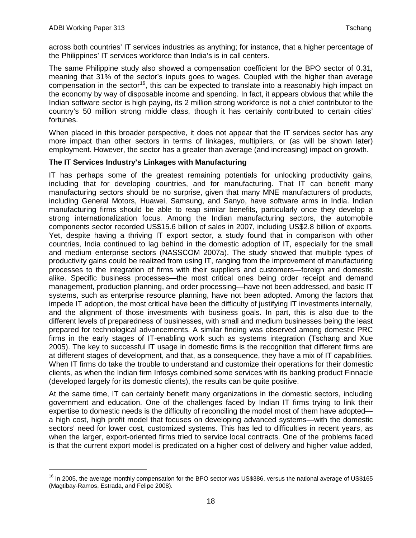across both countries' IT services industries as anything; for instance, that a higher percentage of the Philippines' IT services workforce than India's is in call centers.

The same Philippine study also showed a compensation coefficient for the BPO sector of 0.31, meaning that 31% of the sector's inputs goes to wages. Coupled with the higher than average compensation in the sector<sup>[16](#page-19-0)</sup>, this can be expected to translate into a reasonably high impact on the economy by way of disposable income and spending. In fact, it appears obvious that while the Indian software sector is high paying, its 2 million strong workforce is not a chief contributor to the country's 50 million strong middle class, though it has certainly contributed to certain cities' fortunes.

When placed in this broader perspective, it does not appear that the IT services sector has any more impact than other sectors in terms of linkages, multipliers, or (as will be shown later) employment. However, the sector has a greater than average (and increasing) impact on growth.

#### **The IT Services Industry's Linkages with Manufacturing**

IT has perhaps some of the greatest remaining potentials for unlocking productivity gains, including that for developing countries, and for manufacturing. That IT can benefit many manufacturing sectors should be no surprise, given that many MNE manufacturers of products, including General Motors, Huawei, Samsung, and Sanyo, have software arms in India. Indian manufacturing firms should be able to reap similar benefits, particularly once they develop a strong internationalization focus. Among the Indian manufacturing sectors, the automobile components sector recorded US\$15.6 billion of sales in 2007, including US\$2.8 billion of exports. Yet, despite having a thriving IT export sector, a study found that in comparison with other countries, India continued to lag behind in the domestic adoption of IT, especially for the small and medium enterprise sectors (NASSCOM 2007a). The study showed that multiple types of productivity gains could be realized from using IT, ranging from the improvement of manufacturing processes to the integration of firms with their suppliers and customers—foreign and domestic alike. Specific business processes—the most critical ones being order receipt and demand management, production planning, and order processing—have not been addressed, and basic IT systems, such as enterprise resource planning, have not been adopted. Among the factors that impede IT adoption, the most critical have been the difficulty of justifying IT investments internally, and the alignment of those investments with business goals. In part, this is also due to the different levels of preparedness of businesses, with small and medium businesses being the least prepared for technological advancements. A similar finding was observed among domestic PRC firms in the early stages of IT-enabling work such as systems integration (Tschang and Xue 2005). The key to successful IT usage in domestic firms is the recognition that different firms are at different stages of development, and that, as a consequence, they have a mix of IT capabilities. When IT firms do take the trouble to understand and customize their operations for their domestic clients, as when the Indian firm Infosys combined some services with its banking product Finnacle (developed largely for its domestic clients), the results can be quite positive.

At the same time, IT can certainly benefit many organizations in the domestic sectors, including government and education. One of the challenges faced by Indian IT firms trying to link their expertise to domestic needs is the difficulty of reconciling the model most of them have adopted a high cost, high profit model that focuses on developing advanced systems—with the domestic sectors' need for lower cost, customized systems. This has led to difficulties in recent years, as when the larger, export-oriented firms tried to service local contracts. One of the problems faced is that the current export model is predicated on a higher cost of delivery and higher value added,

<span id="page-19-0"></span><sup>&</sup>lt;sup>16</sup> In 2005, the average monthly compensation for the BPO sector was US\$386, versus the national average of US\$165 (Magtibay-Ramos, Estrada, and Felipe 2008).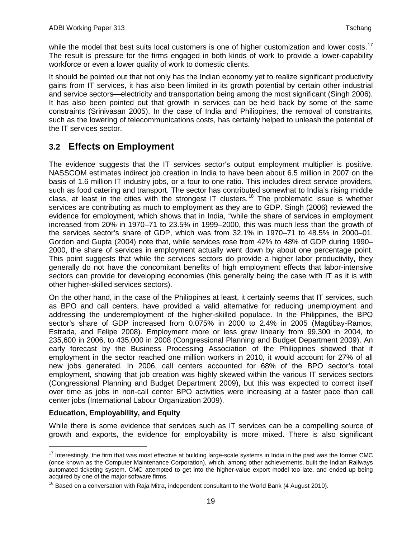while the model that best suits local customers is one of higher customization and lower costs.<sup>[17](#page-20-1)</sup> The result is pressure for the firms engaged in both kinds of work to provide a lower-capability workforce or even a lower quality of work to domestic clients.

It should be pointed out that not only has the Indian economy yet to realize significant productivity gains from IT services, it has also been limited in its growth potential by certain other industrial and service sectors—electricity and transportation being among the most significant (Singh 2006). It has also been pointed out that growth in services can be held back by some of the same constraints (Srinivasan 2005). In the case of India and Philippines, the removal of constraints, such as the lowering of telecommunications costs, has certainly helped to unleash the potential of the IT services sector.

### **3.2 Effects on Employment**

<span id="page-20-0"></span>The evidence suggests that the IT services sector's output employment multiplier is positive. NASSCOM estimates indirect job creation in India to have been about 6.5 million in 2007 on the basis of 1.6 million IT industry jobs, or a four to one ratio. This includes direct service providers, such as food catering and transport. The sector has contributed somewhat to India's rising middle class, at least in the cities with the strongest IT clusters.<sup>[18](#page-20-2)</sup> The problematic issue is whether services are contributing as much to employment as they are to GDP. Singh (2006) reviewed the evidence for employment, which shows that in India, "while the share of services in employment increased from 20% in 1970–71 to 23.5% in 1999–2000, this was much less than the growth of the services sector's share of GDP, which was from 32.1% in 1970–71 to 48.5% in 2000–01. Gordon and Gupta (2004) note that, while services rose from 42% to 48% of GDP during 1990– 2000, the share of services in employment actually went down by about one percentage point. This point suggests that while the services sectors do provide a higher labor productivity, they generally do not have the concomitant benefits of high employment effects that labor-intensive sectors can provide for developing economies (this generally being the case with IT as it is with other higher-skilled services sectors).

On the other hand, in the case of the Philippines at least, it certainly seems that IT services, such as BPO and call centers, have provided a valid alternative for reducing unemployment and addressing the underemployment of the higher-skilled populace. In the Philippines, the BPO sector's share of GDP increased from 0.075% in 2000 to 2.4% in 2005 (Magtibay-Ramos, Estrada, and Felipe 2008). Employment more or less grew linearly from 99,300 in 2004, to 235,600 in 2006, to 435,000 in 2008 (Congressional Planning and Budget Department 2009). An early forecast by the Business Processing Association of the Philippines showed that if employment in the sector reached one million workers in 2010, it would account for 27% of all new jobs generated. In 2006, call centers accounted for 68% of the BPO sector's total employment, showing that job creation was highly skewed within the various IT services sectors (Congressional Planning and Budget Department 2009), but this was expected to correct itself over time as jobs in non-call center BPO activities were increasing at a faster pace than call center jobs (International Labour Organization 2009).

#### **Education, Employability, and Equity**

While there is some evidence that services such as IT services can be a compelling source of growth and exports, the evidence for employability is more mixed. There is also significant

<span id="page-20-1"></span><sup>&</sup>lt;sup>17</sup> Interestingly, the firm that was most effective at building large-scale systems in India in the past was the former CMC (once known as the Computer Maintenance Corporation), which, among other achievements, built the Indian Railways automated ticketing system. CMC attempted to get into the higher-value export model too late, and ended up being acquired by one of the major software firms.

<span id="page-20-2"></span> $18$  Based on a conversation with Raja Mitra, independent consultant to the World Bank (4 August 2010).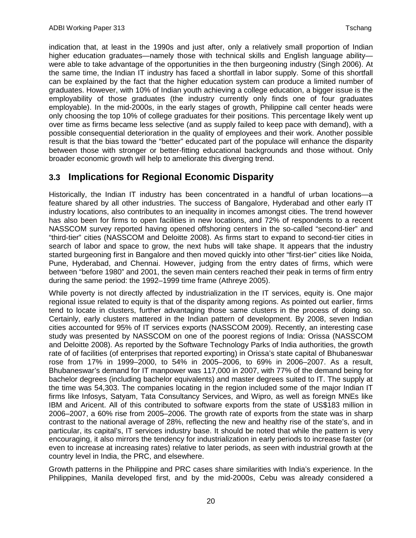indication that, at least in the 1990s and just after, only a relatively small proportion of Indian higher education graduates—namely those with technical skills and English language ability were able to take advantage of the opportunities in the then burgeoning industry (Singh 2006). At the same time, the Indian IT industry has faced a shortfall in labor supply. Some of this shortfall can be explained by the fact that the higher education system can produce a limited number of graduates. However, with 10% of Indian youth achieving a college education, a bigger issue is the employability of those graduates (the industry currently only finds one of four graduates employable). In the mid-2000s, in the early stages of growth, Philippine call center heads were only choosing the top 10% of college graduates for their positions. This percentage likely went up over time as firms became less selective (and as supply failed to keep pace with demand), with a possible consequential deterioration in the quality of employees and their work. Another possible result is that the bias toward the "better" educated part of the populace will enhance the disparity between those with stronger or better-fitting educational backgrounds and those without. Only broader economic growth will help to ameliorate this diverging trend.

## **3.3 Implications for Regional Economic Disparity**

<span id="page-21-0"></span>Historically, the Indian IT industry has been concentrated in a handful of urban locations—a feature shared by all other industries. The success of Bangalore, Hyderabad and other early IT industry locations, also contributes to an inequality in incomes amongst cities. The trend however has also been for firms to open facilities in new locations, and 72% of respondents to a recent NASSCOM survey reported having opened offshoring centers in the so-called "second-tier" and "third-tier" cities (NASSCOM and Deloitte 2008). As firms start to expand to second-tier cities in search of labor and space to grow, the next hubs will take shape. It appears that the industry started burgeoning first in Bangalore and then moved quickly into other "first-tier" cities like Noida, Pune, Hyderabad, and Chennai. However, judging from the entry dates of firms, which were between "before 1980" and 2001, the seven main centers reached their peak in terms of firm entry during the same period: the 1992–1999 time frame (Athreye 2005).

While poverty is not directly affected by industrialization in the IT services, equity is. One major regional issue related to equity is that of the disparity among regions. As pointed out earlier, firms tend to locate in clusters, further advantaging those same clusters in the process of doing so. Certainly, early clusters mattered in the Indian pattern of development. By 2008, seven Indian cities accounted for 95% of IT services exports (NASSCOM 2009). Recently, an interesting case study was presented by NASSCOM on one of the poorest regions of India: Orissa (NASSCOM and Deloitte 2008). As reported by the Software Technology Parks of India authorities, the growth rate of of facilities (of enterprises that reported exporting) in Orissa's state capital of Bhubaneswar rose from 17% in 1999–2000, to 54% in 2005–2006, to 69% in 2006–2007. As a result, Bhubaneswar's demand for IT manpower was 117,000 in 2007, with 77% of the demand being for bachelor degrees (including bachelor equivalents) and master degrees suited to IT. The supply at the time was 54,303. The companies locating in the region included some of the major Indian IT firms like Infosys, Satyam, Tata Consultancy Services, and Wipro, as well as foreign MNEs like IBM and Aricent. All of this contributed to software exports from the state of US\$183 million in 2006–2007, a 60% rise from 2005–2006. The growth rate of exports from the state was in sharp contrast to the national average of 28%, reflecting the new and healthy rise of the state's, and in particular, its capital's, IT services industry base. It should be noted that while the pattern is very encouraging, it also mirrors the tendency for industrialization in early periods to increase faster (or even to increase at increasing rates) relative to later periods, as seen with industrial growth at the country level in India, the PRC, and elsewhere.

Growth patterns in the Philippine and PRC cases share similarities with India's experience. In the Philippines, Manila developed first, and by the mid-2000s, Cebu was already considered a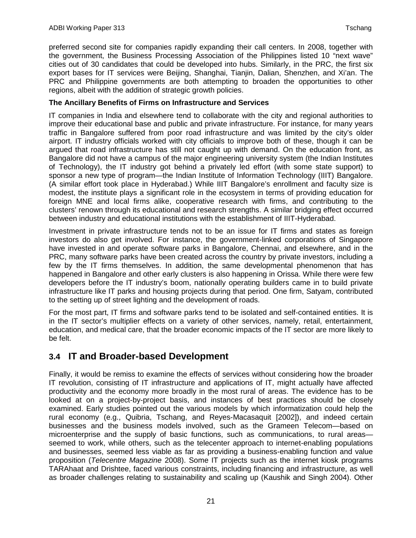preferred second site for companies rapidly expanding their call centers. In 2008, together with the government, the Business Processing Association of the Philippines listed 10 "next wave" cities out of 30 candidates that could be developed into hubs. Similarly, in the PRC, the first six export bases for IT services were Beijing, Shanghai, Tianjin, Dalian, Shenzhen, and Xi'an. The PRC and Philippine governments are both attempting to broaden the opportunities to other regions, albeit with the addition of strategic growth policies.

#### **The Ancillary Benefits of Firms on Infrastructure and Services**

IT companies in India and elsewhere tend to collaborate with the city and regional authorities to improve their educational base and public and private infrastructure. For instance, for many years traffic in Bangalore suffered from poor road infrastructure and was limited by the city's older airport. IT industry officials worked with city officials to improve both of these, though it can be argued that road infrastructure has still not caught up with demand. On the education front, as Bangalore did not have a campus of the major engineering university system (the Indian Institutes of Technology), the IT industry got behind a privately led effort (with some state support) to sponsor a new type of program—the Indian Institute of Information Technology (IIIT) Bangalore. (A similar effort took place in Hyderabad.) While IIIT Bangalore's enrollment and faculty size is modest, the institute plays a significant role in the ecosystem in terms of providing education for foreign MNE and local firms alike, cooperative research with firms, and contributing to the clusters' renown through its educational and research strengths. A similar bridging effect occurred between industry and educational institutions with the establishment of IIIT-Hyderabad.

Investment in private infrastructure tends not to be an issue for IT firms and states as foreign investors do also get involved. For instance, the government-linked corporations of Singapore have invested in and operate software parks in Bangalore, Chennai, and elsewhere, and in the PRC, many software parks have been created across the country by private investors, including a few by the IT firms themselves. In addition, the same developmental phenomenon that has happened in Bangalore and other early clusters is also happening in Orissa. While there were few developers before the IT industry's boom, nationally operating builders came in to build private infrastructure like IT parks and housing projects during that period. One firm, Satyam, contributed to the setting up of street lighting and the development of roads.

For the most part, IT firms and software parks tend to be isolated and self-contained entities. It is in the IT sector's multiplier effects on a variety of other services, namely, retail, entertainment, education, and medical care, that the broader economic impacts of the IT sector are more likely to be felt.

### **3.4 IT and Broader-based Development**

<span id="page-22-0"></span>Finally, it would be remiss to examine the effects of services without considering how the broader IT revolution, consisting of IT infrastructure and applications of IT, might actually have affected productivity and the economy more broadly in the most rural of areas. The evidence has to be looked at on a project-by-project basis, and instances of best practices should be closely examined. Early studies pointed out the various models by which informatization could help the rural economy (e.g., Quibria, Tschang, and Reyes-Macasaquit [2002]), and indeed certain businesses and the business models involved, such as the Grameen Telecom—based on microenterprise and the supply of basic functions, such as communications, to rural areas seemed to work, while others, such as the telecenter approach to internet-enabling populations and businesses, seemed less viable as far as providing a business-enabling function and value proposition (*Telecentre Magazine* 2008). Some IT projects such as the internet kiosk programs TARAhaat and Drishtee, faced various constraints, including financing and infrastructure, as well as broader challenges relating to sustainability and scaling up (Kaushik and Singh 2004). Other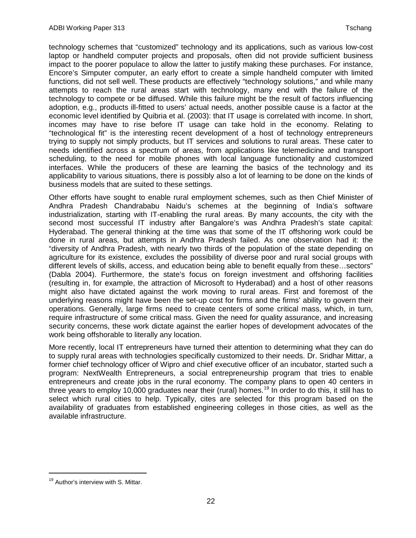technology schemes that "customized" technology and its applications, such as various low-cost laptop or handheld computer projects and proposals, often did not provide sufficient business impact to the poorer populace to allow the latter to justify making these purchases. For instance, Encore's Simputer computer, an early effort to create a simple handheld computer with limited functions, did not sell well. These products are effectively "technology solutions," and while many attempts to reach the rural areas start with technology, many end with the failure of the technology to compete or be diffused. While this failure might be the result of factors influencing adoption, e.g., products ill-fitted to users' actual needs, another possible cause is a factor at the economic level identified by Quibria et al. (2003): that IT usage is correlated with income. In short, incomes may have to rise before IT usage can take hold in the economy. Relating to "technological fit" is the interesting recent development of a host of technology entrepreneurs trying to supply not simply products, but IT services and solutions to rural areas. These cater to needs identified across a spectrum of areas, from applications like telemedicine and transport scheduling, to the need for mobile phones with local language functionality and customized interfaces. While the producers of these are learning the basics of the technology and its applicability to various situations, there is possibly also a lot of learning to be done on the kinds of business models that are suited to these settings.

Other efforts have sought to enable rural employment schemes, such as then Chief Minister of Andhra Pradesh Chandrababu Naidu's schemes at the beginning of India's software industrialization, starting with IT-enabling the rural areas. By many accounts, the city with the second most successful IT industry after Bangalore's was Andhra Pradesh's state capital: Hyderabad. The general thinking at the time was that some of the IT offshoring work could be done in rural areas, but attempts in Andhra Pradesh failed. As one observation had it: the "diversity of Andhra Pradesh, with nearly two thirds of the population of the state depending on agriculture for its existence, excludes the possibility of diverse poor and rural social groups with different levels of skills, access, and education being able to benefit equally from these…sectors" (Dabla 2004). Furthermore, the state's focus on foreign investment and offshoring facilities (resulting in, for example, the attraction of Microsoft to Hyderabad) and a host of other reasons might also have dictated against the work moving to rural areas. First and foremost of the underlying reasons might have been the set-up cost for firms and the firms' ability to govern their operations. Generally, large firms need to create centers of some critical mass, which, in turn, require infrastructure of some critical mass. Given the need for quality assurance, and increasing security concerns, these work dictate against the earlier hopes of development advocates of the work being offshorable to literally any location.

More recently, local IT entrepreneurs have turned their attention to determining what they can do to supply rural areas with technologies specifically customized to their needs. Dr. Sridhar Mittar, a former chief technology officer of Wipro and chief executive officer of an incubator, started such a program: NextWealth Entrepreneurs, a social entrepreneurship program that tries to enable entrepreneurs and create jobs in the rural economy. The company plans to open 40 centers in three years to employ 10,000 graduates near their (rural) homes.<sup>[19](#page-23-0)</sup> In order to do this, it still has to select which rural cities to help. Typically, cites are selected for this program based on the availability of graduates from established engineering colleges in those cities, as well as the available infrastructure.

<span id="page-23-0"></span><sup>&</sup>lt;sup>19</sup> Author's interview with S. Mittar.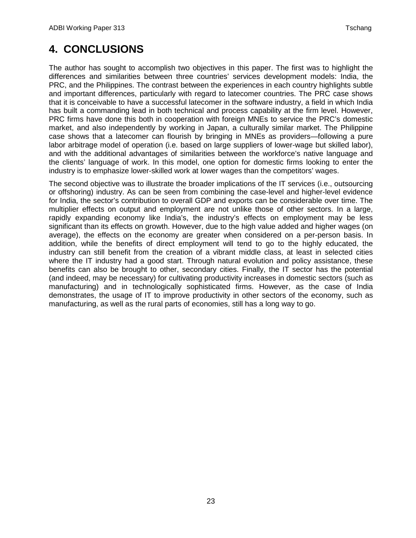# **4. CONCLUSIONS**

<span id="page-24-0"></span>The author has sought to accomplish two objectives in this paper. The first was to highlight the differences and similarities between three countries' services development models: India, the PRC, and the Philippines. The contrast between the experiences in each country highlights subtle and important differences, particularly with regard to latecomer countries. The PRC case shows that it is conceivable to have a successful latecomer in the software industry, a field in which India has built a commanding lead in both technical and process capability at the firm level. However, PRC firms have done this both in cooperation with foreign MNEs to service the PRC's domestic market, and also independently by working in Japan, a culturally similar market. The Philippine case shows that a latecomer can flourish by bringing in MNEs as providers—following a pure labor arbitrage model of operation (i.e. based on large suppliers of lower-wage but skilled labor), and with the additional advantages of similarities between the workforce's native language and the clients' language of work. In this model, one option for domestic firms looking to enter the industry is to emphasize lower-skilled work at lower wages than the competitors' wages.

The second objective was to illustrate the broader implications of the IT services (i.e., outsourcing or offshoring) industry. As can be seen from combining the case-level and higher-level evidence for India, the sector's contribution to overall GDP and exports can be considerable over time. The multiplier effects on output and employment are not unlike those of other sectors. In a large, rapidly expanding economy like India's, the industry's effects on employment may be less significant than its effects on growth. However, due to the high value added and higher wages (on average), the effects on the economy are greater when considered on a per-person basis. In addition, while the benefits of direct employment will tend to go to the highly educated, the industry can still benefit from the creation of a vibrant middle class, at least in selected cities where the IT industry had a good start. Through natural evolution and policy assistance, these benefits can also be brought to other, secondary cities. Finally, the IT sector has the potential (and indeed, may be necessary) for cultivating productivity increases in domestic sectors (such as manufacturing) and in technologically sophisticated firms. However, as the case of India demonstrates, the usage of IT to improve productivity in other sectors of the economy, such as manufacturing, as well as the rural parts of economies, still has a long way to go.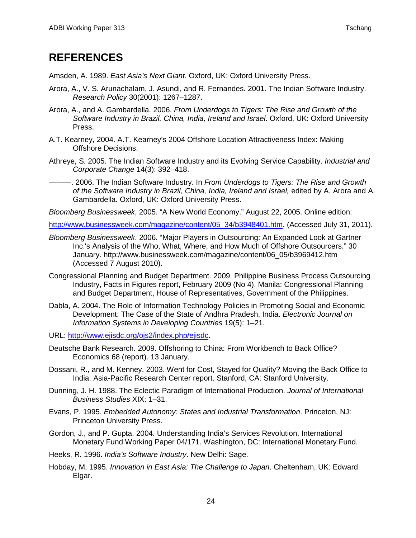# **REFERENCES**

<span id="page-25-0"></span>Amsden, A. 1989. *East Asia's Next Giant*. Oxford, UK: Oxford University Press.

- Arora, A., V. S. Arunachalam, J. Asundi, and R. Fernandes. 2001. The Indian Software Industry. *Research Policy* 30(2001): 1267–1287.
- Arora, A., and A. Gambardella. 2006. *From Underdogs to Tigers: The Rise and Growth of the Software Industry in Brazil, China, India, Ireland and Israel*. Oxford, UK: Oxford University Press.
- A.T. Kearney, 2004. A.T. Kearney's 2004 Offshore Location Attractiveness Index: Making Offshore Decisions.
- Athreye, S. 2005. The Indian Software Industry and its Evolving Service Capability. *Industrial and Corporate Change* 14(3): 392–418.
- ———. 2006. The Indian Software Industry. In *From Underdogs to Tigers: The Rise and Growth of the Software Industry in Brazil, China, India, Ireland and Israel,* edited by A. Arora and A. Gambardella. Oxford, UK: Oxford University Press.

*Bloomberg Businessweek*, 2005. "A New World Economy." August 22, 2005. Online edition:

[http://www.businessweek.com/magazine/content/05\\_34/b3948401.htm.](http://www.businessweek.com/magazine/content/05_34/b3948401.htm) (Accessed July 31, 2011).

- *Bloomberg Businessweek*. 2006. "Major Players in Outsourcing: An Expanded Look at Gartner Inc.'s Analysis of the Who, What, Where, and How Much of Offshore Outsourcers." 30 January. http://www.businessweek.com/magazine/content/06\_05/b3969412.htm (Accessed 7 August 2010).
- Congressional Planning and Budget Department. 2009. Philippine Business Process Outsourcing Industry, Facts in Figures report, February 2009 (No 4). Manila: Congressional Planning and Budget Department, House of Representatives, Government of the Philippines.
- Dabla, A. 2004. The Role of Information Technology Policies in Promoting Social and Economic Development: The Case of the State of Andhra Pradesh, India. *Electronic Journal on Information Systems in Developing Countries* 19(5): 1–21.
- URL: [http://www.ejisdc.org/ojs2/index.php/ejisdc.](http://www.ejisdc.org/ojs2/index.php/ejisdc)
- Deutsche Bank Research. 2009. Offshoring to China: From Workbench to Back Office? Economics 68 (report). 13 January.
- Dossani, R., and M. Kenney. 2003. Went for Cost, Stayed for Quality? Moving the Back Office to India. Asia-Pacific Research Center report. Stanford, CA: Stanford University.
- Dunning, J. H. 1988. The Eclectic Paradigm of International Production. *Journal of International Business Studies* XIX: 1–31.
- Evans, P. 1995. *Embedded Autonomy: States and Industrial Transformation*. Princeton, NJ: Princeton University Press.
- Gordon, J., and P. Gupta. 2004. Understanding India's Services Revolution. International Monetary Fund Working Paper 04/171. Washington, DC: International Monetary Fund.
- Heeks, R. 1996. *India's Software Industry*. New Delhi: Sage.
- Hobday, M. 1995. *Innovation in East Asia: The Challenge to Japan*. Cheltenham, UK: Edward Elgar.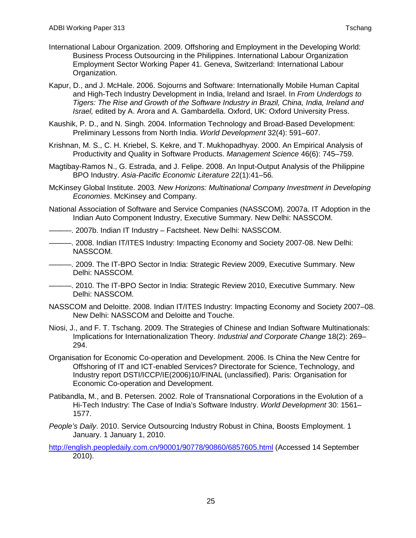- International Labour Organization. 2009. Offshoring and Employment in the Developing World: Business Process Outsourcing in the Philippines. International Labour Organization Employment Sector Working Paper 41. Geneva, Switzerland: International Labour Organization.
- Kapur, D., and J. McHale. 2006. Sojourns and Software: Internationally Mobile Human Capital and High-Tech Industry Development in India, Ireland and Israel. In *From Underdogs to Tigers: The Rise and Growth of the Software Industry in Brazil, China, India, Ireland and Israel,* edited by A. Arora and A. Gambardella. Oxford, UK: Oxford University Press.
- Kaushik, P. D., and N. Singh. 2004. Information Technology and Broad-Based Development: Preliminary Lessons from North India. *World Development* 32(4): 591–607.
- Krishnan, M. S., C. H. Kriebel, S. Kekre, and T. Mukhopadhyay. 2000. An Empirical Analysis of Productivity and Quality in Software Products. *Management Science* 46(6): 745–759.
- Magtibay-Ramos N., G. Estrada, and J. Felipe. 2008. An Input-Output Analysis of the Philippine BPO Industry. *Asia-Pacific Economic Literature* 22(1):41–56*.*
- McKinsey Global Institute. 2003. *New Horizons: Multinational Company Investment in Developing Economies*. McKinsey and Company.
- National Association of Software and Service Companies (NASSCOM). 2007a. IT Adoption in the Indian Auto Component Industry, Executive Summary. New Delhi: NASSCOM.
- ———. 2007b. Indian IT Industry Factsheet. New Delhi: NASSCOM.
- -. 2008. Indian IT/ITES Industry: Impacting Economy and Society 2007-08. New Delhi: NASSCOM.
- ———. 2009. The IT-BPO Sector in India: Strategic Review 2009, Executive Summary. New Delhi: NASSCOM.
- -, 2010. The IT-BPO Sector in India: Strategic Review 2010, Executive Summary. New Delhi: NASSCOM.
- NASSCOM and Deloitte. 2008. Indian IT/ITES Industry: Impacting Economy and Society 2007–08. New Delhi: NASSCOM and Deloitte and Touche.
- Niosi, J., and F. T. Tschang. 2009. The Strategies of Chinese and Indian Software Multinationals: Implications for Internationalization Theory. *Industrial and Corporate Change* 18(2): 269– 294.
- Organisation for Economic Co-operation and Development. 2006. Is China the New Centre for Offshoring of IT and ICT-enabled Services? Directorate for Science, Technology, and Industry report DSTI/ICCP/IE(2006)10/FINAL (unclassified). Paris: Organisation for Economic Co-operation and Development.
- Patibandla, M., and B. Petersen. 2002. Role of Transnational Corporations in the Evolution of a Hi-Tech Industry: The Case of India's Software Industry. *World Development* 30: 1561– 1577.
- *People's Daily*. 2010. Service Outsourcing Industry Robust in China, Boosts Employment. 1 January. 1 January 1, 2010.
- <http://english.peopledaily.com.cn/90001/90778/90860/6857605.html> (Accessed 14 September 2010).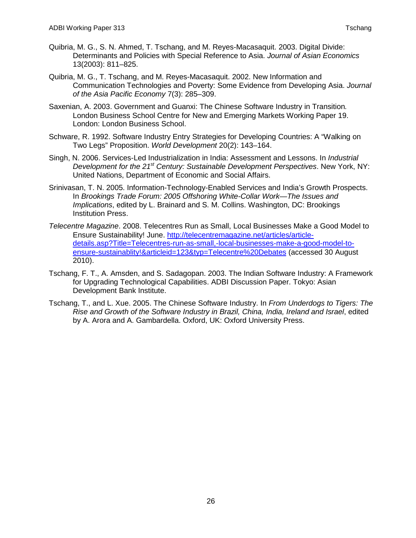- Quibria, M. G., S. N. Ahmed, T. Tschang, and M. Reyes-Macasaquit. 2003. Digital Divide: Determinants and Policies with Special Reference to Asia. *Journal of Asian Economics* 13(2003): 811–825.
- Quibria, M. G., T. Tschang, and M. Reyes-Macasaquit. 2002. New Information and Communication Technologies and Poverty: Some Evidence from Developing Asia. *Journal of the Asia Pacific Economy* 7(3): 285–309.
- Saxenian, A. 2003. Government and Guanxi: The Chinese Software Industry in Transition*.* London Business School Centre for New and Emerging Markets Working Paper 19. London: London Business School.
- Schware, R. 1992. Software Industry Entry Strategies for Developing Countries: A "Walking on Two Legs" Proposition. *World Development* 20(2): 143–164.
- Singh, N. 2006. Services-Led Industrialization in India: Assessment and Lessons. In *Industrial Development for the 21st Century: Sustainable Development Perspectives*. New York, NY: United Nations, Department of Economic and Social Affairs.
- Srinivasan, T. N. 2005. Information-Technology-Enabled Services and India's Growth Prospects. In *Brookings Trade Forum: 2005 Offshoring White-Collar Work—The Issues and Implications*, edited by L. Brainard and S. M. Collins. Washington, DC: Brookings Institution Press.
- *Telecentre Magazine*. 2008. Telecentres Run as Small, Local Businesses Make a Good Model to Ensure Sustainability! June. [http://telecentremagazine.net/articles/article](http://telecentremagazine.net/articles/article-details.asp?Title=Telecentres-run-as-small,-local-businesses-make-a-good-model-to-ensure-sustainablity!&articleid=123&typ=Telecentre%20Debates)[details.asp?Title=Telecentres-run-as-small,-local-businesses-make-a-good-model-to](http://telecentremagazine.net/articles/article-details.asp?Title=Telecentres-run-as-small,-local-businesses-make-a-good-model-to-ensure-sustainablity!&articleid=123&typ=Telecentre%20Debates)[ensure-sustainablity!&articleid=123&typ=Telecentre%20Debates](http://telecentremagazine.net/articles/article-details.asp?Title=Telecentres-run-as-small,-local-businesses-make-a-good-model-to-ensure-sustainablity!&articleid=123&typ=Telecentre%20Debates) (accessed 30 August 2010).
- Tschang, F. T., A. Amsden, and S. Sadagopan. 2003. The Indian Software Industry: A Framework for Upgrading Technological Capabilities. ADBI Discussion Paper. Tokyo: Asian Development Bank Institute.
- Tschang, T., and L. Xue. 2005. The Chinese Software Industry. In *From Underdogs to Tigers: The Rise and Growth of the Software Industry in Brazil, China, India, Ireland and Israel*, edited by A. Arora and A. Gambardella. Oxford, UK: Oxford University Press.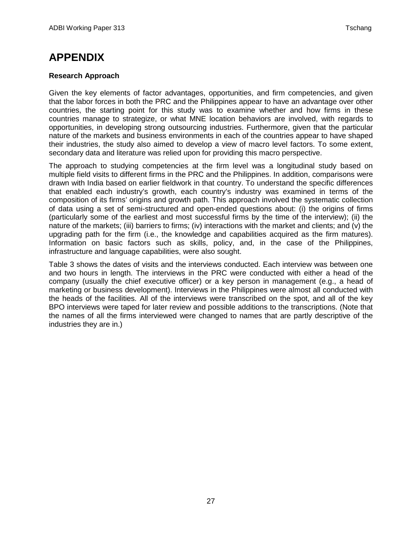# **APPENDIX**

#### <span id="page-28-0"></span>**Research Approach**

Given the key elements of factor advantages, opportunities, and firm competencies, and given that the labor forces in both the PRC and the Philippines appear to have an advantage over other countries, the starting point for this study was to examine whether and how firms in these countries manage to strategize, or what MNE location behaviors are involved, with regards to opportunities, in developing strong outsourcing industries. Furthermore, given that the particular nature of the markets and business environments in each of the countries appear to have shaped their industries, the study also aimed to develop a view of macro level factors. To some extent, secondary data and literature was relied upon for providing this macro perspective.

The approach to studying competencies at the firm level was a longitudinal study based on multiple field visits to different firms in the PRC and the Philippines. In addition, comparisons were drawn with India based on earlier fieldwork in that country. To understand the specific differences that enabled each industry's growth, each country's industry was examined in terms of the composition of its firms' origins and growth path. This approach involved the systematic collection of data using a set of semi-structured and open-ended questions about: (i) the origins of firms (particularly some of the earliest and most successful firms by the time of the interview); (ii) the nature of the markets; (iii) barriers to firms; (iv) interactions with the market and clients; and (v) the upgrading path for the firm (i.e., the knowledge and capabilities acquired as the firm matures). Information on basic factors such as skills, policy, and, in the case of the Philippines, infrastructure and language capabilities, were also sought.

Table 3 shows the dates of visits and the interviews conducted. Each interview was between one and two hours in length. The interviews in the PRC were conducted with either a head of the company (usually the chief executive officer) or a key person in management (e.g., a head of marketing or business development). Interviews in the Philippines were almost all conducted with the heads of the facilities. All of the interviews were transcribed on the spot, and all of the key BPO interviews were taped for later review and possible additions to the transcriptions. (Note that the names of all the firms interviewed were changed to names that are partly descriptive of the industries they are in.)